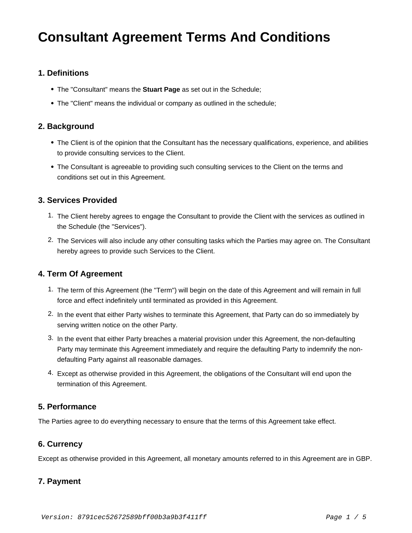# **Consultant Agreement Terms And Conditions**

#### **1. Definitions**

- The "Consultant" means the **Stuart Page** as set out in the Schedule;
- The "Client" means the individual or company as outlined in the schedule;

#### **2. Background**

- The Client is of the opinion that the Consultant has the necessary qualifications, experience, and abilities to provide consulting services to the Client.
- The Consultant is agreeable to providing such consulting services to the Client on the terms and conditions set out in this Agreement.

#### **3. Services Provided**

- 1. The Client hereby agrees to engage the Consultant to provide the Client with the services as outlined in the Schedule (the "Services").
- 2. The Services will also include any other consulting tasks which the Parties may agree on. The Consultant hereby agrees to provide such Services to the Client.

#### **4. Term Of Agreement**

- 1. The term of this Agreement (the "Term") will begin on the date of this Agreement and will remain in full force and effect indefinitely until terminated as provided in this Agreement.
- 2. In the event that either Party wishes to terminate this Agreement, that Party can do so immediately by serving written notice on the other Party.
- 3. In the event that either Party breaches a material provision under this Agreement, the non-defaulting Party may terminate this Agreement immediately and require the defaulting Party to indemnify the nondefaulting Party against all reasonable damages.
- 4. Except as otherwise provided in this Agreement, the obligations of the Consultant will end upon the termination of this Agreement.

### **5. Performance**

The Parties agree to do everything necessary to ensure that the terms of this Agreement take effect.

#### **6. Currency**

Except as otherwise provided in this Agreement, all monetary amounts referred to in this Agreement are in GBP.

### **7. Payment**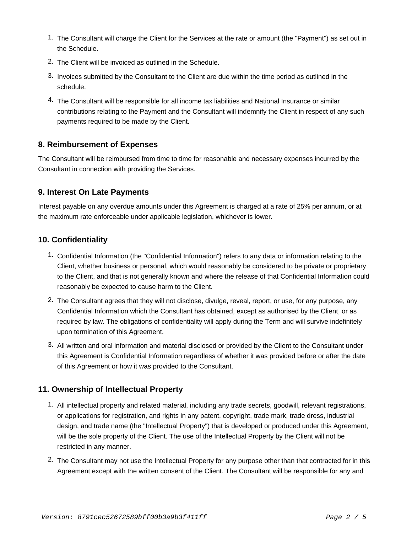- 1. The Consultant will charge the Client for the Services at the rate or amount (the "Payment") as set out in the Schedule.
- 2. The Client will be invoiced as outlined in the Schedule.
- 3. Invoices submitted by the Consultant to the Client are due within the time period as outlined in the schedule.
- 4. The Consultant will be responsible for all income tax liabilities and National Insurance or similar contributions relating to the Payment and the Consultant will indemnify the Client in respect of any such payments required to be made by the Client.

### **8. Reimbursement of Expenses**

The Consultant will be reimbursed from time to time for reasonable and necessary expenses incurred by the Consultant in connection with providing the Services.

#### **9. Interest On Late Payments**

Interest payable on any overdue amounts under this Agreement is charged at a rate of 25% per annum, or at the maximum rate enforceable under applicable legislation, whichever is lower.

#### **10. Confidentiality**

- 1. Confidential Information (the "Confidential Information") refers to any data or information relating to the Client, whether business or personal, which would reasonably be considered to be private or proprietary to the Client, and that is not generally known and where the release of that Confidential Information could reasonably be expected to cause harm to the Client.
- 2. The Consultant agrees that they will not disclose, divulge, reveal, report, or use, for any purpose, any Confidential Information which the Consultant has obtained, except as authorised by the Client, or as required by law. The obligations of confidentiality will apply during the Term and will survive indefinitely upon termination of this Agreement.
- 3. All written and oral information and material disclosed or provided by the Client to the Consultant under this Agreement is Confidential Information regardless of whether it was provided before or after the date of this Agreement or how it was provided to the Consultant.

### **11. Ownership of Intellectual Property**

- 1. All intellectual property and related material, including any trade secrets, goodwill, relevant registrations, or applications for registration, and rights in any patent, copyright, trade mark, trade dress, industrial design, and trade name (the "Intellectual Property") that is developed or produced under this Agreement, will be the sole property of the Client. The use of the Intellectual Property by the Client will not be restricted in any manner.
- 2. The Consultant may not use the Intellectual Property for any purpose other than that contracted for in this Agreement except with the written consent of the Client. The Consultant will be responsible for any and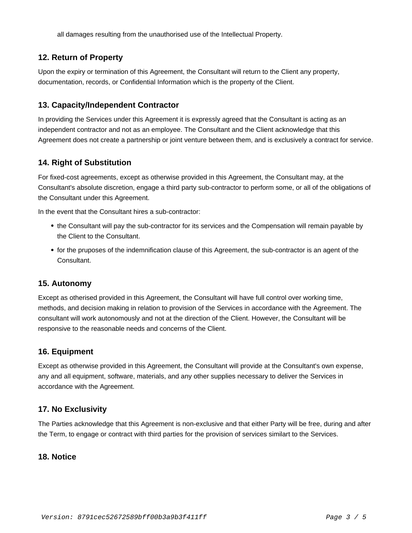all damages resulting from the unauthorised use of the Intellectual Property.

# **12. Return of Property**

Upon the expiry or termination of this Agreement, the Consultant will return to the Client any property, documentation, records, or Confidential Information which is the property of the Client.

# **13. Capacity/Independent Contractor**

In providing the Services under this Agreement it is expressly agreed that the Consultant is acting as an independent contractor and not as an employee. The Consultant and the Client acknowledge that this Agreement does not create a partnership or joint venture between them, and is exclusively a contract for service.

## **14. Right of Substitution**

For fixed-cost agreements, except as otherwise provided in this Agreement, the Consultant may, at the Consultant's absolute discretion, engage a third party sub-contractor to perform some, or all of the obligations of the Consultant under this Agreement.

In the event that the Consultant hires a sub-contractor:

- the Consultant will pay the sub-contractor for its services and the Compensation will remain payable by the Client to the Consultant.
- for the pruposes of the indemnification clause of this Agreement, the sub-contractor is an agent of the Consultant.

### **15. Autonomy**

Except as otherised provided in this Agreement, the Consultant will have full control over working time, methods, and decision making in relation to provision of the Services in accordance with the Agreement. The consultant will work autonomously and not at the direction of the Client. However, the Consultant will be responsive to the reasonable needs and concerns of the Client.

# **16. Equipment**

Except as otherwise provided in this Agreement, the Consultant will provide at the Consultant's own expense, any and all equipment, software, materials, and any other supplies necessary to deliver the Services in accordance with the Agreement.

### **17. No Exclusivity**

The Parties acknowledge that this Agreement is non-exclusive and that either Party will be free, during and after the Term, to engage or contract with third parties for the provision of services similart to the Services.

### **18. Notice**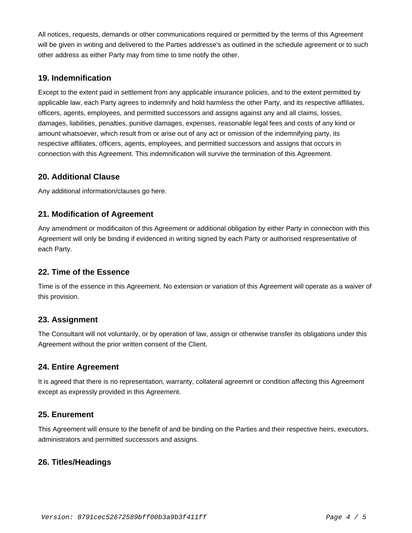All notices, requests, demands or other communications required or permitted by the terms of this Agreement will be given in writing and delivered to the Parties addresse's as outlined in the schedule agreement or to such other address as either Party may from time to time notify the other.

## **19. Indemnification**

Except to the extent paid in settlement from any applicable insurance policies, and to the extent permitted by applicable law, each Party agrees to indemnify and hold harmless the other Party, and its respective affiliates, officers, agents, employees, and permitted successors and assigns against any and all claims, losses, damages, liabilities, penalties, punitive damages, expenses, reasonable legal fees and costs of any kind or amount whatsoever, which result from or arise out of any act or omission of the indemnifying party, its respective affiliates, officers, agents, employees, and permitted successors and assigns that occurs in connection with this Agreement. This indemnification will survive the termination of this Agreement.

### **20. Additional Clause**

Any additional information/clauses go here.

# **21. Modification of Agreement**

Any amendment or modificaiton of this Agreement or additional obligation by either Party in connection with this Agreement will only be binding if evidenced in writing signed by each Party or authorised respresentative of each Party.

### **22. Time of the Essence**

Time is of the essence in this Agreement. No extension or variation of this Agreement will operate as a waiver of this provision.

### **23. Assignment**

The Consultant will not voluntarily, or by operation of law, assign or otherwise transfer its obligations under this Agreement without the prior written consent of the Client.

### **24. Entire Agreement**

It is agreed that there is no representation, warranty, collateral agreemnt or condition affecting this Agreement except as expressly provided in this Agreement.

### **25. Enurement**

This Agreement will ensure to the benefit of and be binding on the Parties and their respective heirs, executors, administrators and permitted successors and assigns.

# **26. Titles/Headings**